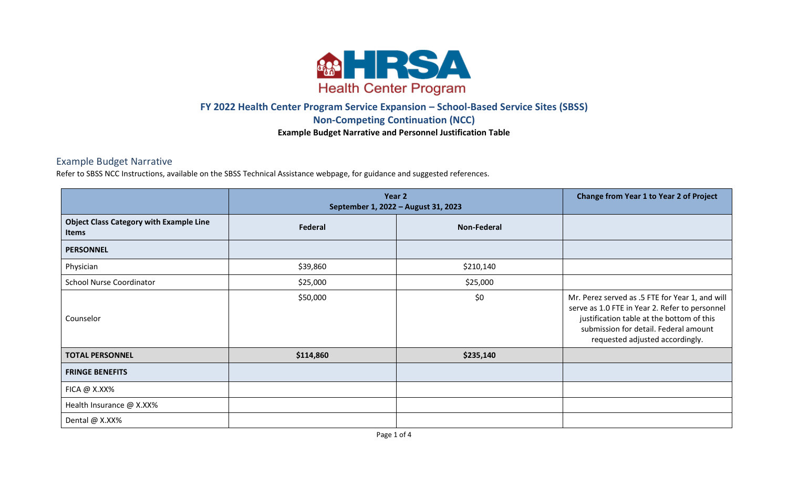

## **FY 2022 Health Center Program Service Expansion – School-Based Service Sites (SBSS) Non-Competing Continuation (NCC) Example Budget Narrative and Personnel Justification Table**

## Example Budget Narrative

Refer to SBSS NCC Instructions, available on the SBSS Technical Assistance webpage, for guidance and suggested references.

|                                                                | Year 2<br>September 1, 2022 - August 31, 2023 | <b>Change from Year 1 to Year 2 of Project</b> |                                                                                                                                                                                                                            |
|----------------------------------------------------------------|-----------------------------------------------|------------------------------------------------|----------------------------------------------------------------------------------------------------------------------------------------------------------------------------------------------------------------------------|
| <b>Object Class Category with Example Line</b><br><b>Items</b> | Federal                                       | <b>Non-Federal</b>                             |                                                                                                                                                                                                                            |
| <b>PERSONNEL</b>                                               |                                               |                                                |                                                                                                                                                                                                                            |
| Physician                                                      | \$39,860                                      | \$210,140                                      |                                                                                                                                                                                                                            |
| <b>School Nurse Coordinator</b>                                | \$25,000                                      | \$25,000                                       |                                                                                                                                                                                                                            |
| Counselor                                                      | \$50,000                                      | \$0                                            | Mr. Perez served as .5 FTE for Year 1, and will<br>serve as 1.0 FTE in Year 2. Refer to personnel<br>justification table at the bottom of this<br>submission for detail. Federal amount<br>requested adjusted accordingly. |
| <b>TOTAL PERSONNEL</b>                                         | \$114,860                                     | \$235,140                                      |                                                                                                                                                                                                                            |
| <b>FRINGE BENEFITS</b>                                         |                                               |                                                |                                                                                                                                                                                                                            |
| $FICA @ X.XX\%$                                                |                                               |                                                |                                                                                                                                                                                                                            |
| Health Insurance @ X.XX%                                       |                                               |                                                |                                                                                                                                                                                                                            |
| Dental @ X.XX%                                                 |                                               |                                                |                                                                                                                                                                                                                            |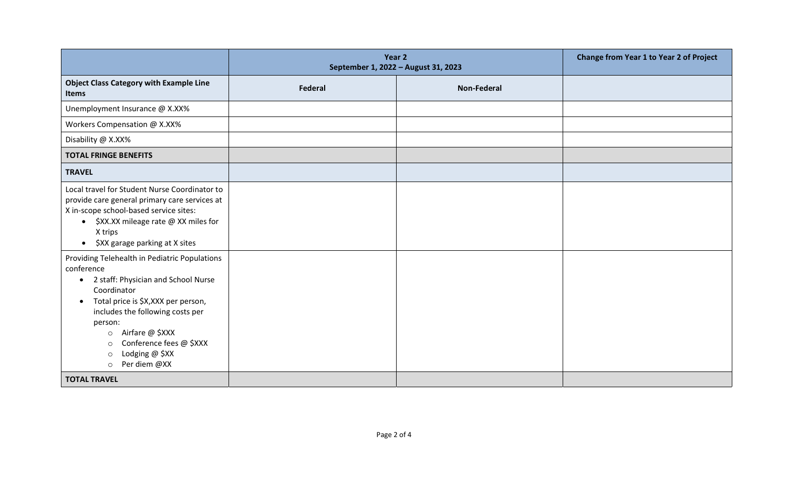|                                                                                                                                                                                                                                                                                                                                                               | Year 2<br>September 1, 2022 - August 31, 2023 |                    | <b>Change from Year 1 to Year 2 of Project</b> |
|---------------------------------------------------------------------------------------------------------------------------------------------------------------------------------------------------------------------------------------------------------------------------------------------------------------------------------------------------------------|-----------------------------------------------|--------------------|------------------------------------------------|
| <b>Object Class Category with Example Line</b><br><b>Items</b>                                                                                                                                                                                                                                                                                                | <b>Federal</b>                                | <b>Non-Federal</b> |                                                |
| Unemployment Insurance @ X.XX%                                                                                                                                                                                                                                                                                                                                |                                               |                    |                                                |
| Workers Compensation @ X.XX%                                                                                                                                                                                                                                                                                                                                  |                                               |                    |                                                |
| Disability @ X.XX%                                                                                                                                                                                                                                                                                                                                            |                                               |                    |                                                |
| <b>TOTAL FRINGE BENEFITS</b>                                                                                                                                                                                                                                                                                                                                  |                                               |                    |                                                |
| <b>TRAVEL</b>                                                                                                                                                                                                                                                                                                                                                 |                                               |                    |                                                |
| Local travel for Student Nurse Coordinator to<br>provide care general primary care services at<br>X in-scope school-based service sites:<br>\$XX.XX mileage rate @ XX miles for<br>$\bullet$<br>X trips<br>\$XX garage parking at X sites<br>$\bullet$                                                                                                        |                                               |                    |                                                |
| Providing Telehealth in Pediatric Populations<br>conference<br>2 staff: Physician and School Nurse<br>$\bullet$<br>Coordinator<br>Total price is \$X, XXX per person,<br>$\bullet$<br>includes the following costs per<br>person:<br>Airfare @ \$XXX<br>$\circ$<br>Conference fees @ \$XXX<br>$\circ$<br>Lodging @ \$XX<br>$\circ$<br>Per diem @XX<br>$\circ$ |                                               |                    |                                                |
| <b>TOTAL TRAVEL</b>                                                                                                                                                                                                                                                                                                                                           |                                               |                    |                                                |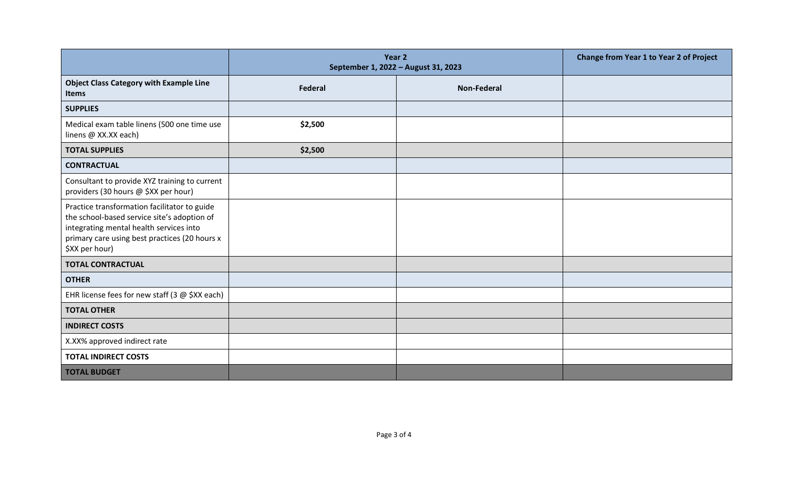|                                                                                                                                                                                                           | Year 2<br>September 1, 2022 - August 31, 2023 | Change from Year 1 to Year 2 of Project |  |
|-----------------------------------------------------------------------------------------------------------------------------------------------------------------------------------------------------------|-----------------------------------------------|-----------------------------------------|--|
| <b>Object Class Category with Example Line</b><br>Items                                                                                                                                                   | <b>Federal</b>                                | <b>Non-Federal</b>                      |  |
| <b>SUPPLIES</b>                                                                                                                                                                                           |                                               |                                         |  |
| Medical exam table linens (500 one time use<br>linens @ XX.XX each)                                                                                                                                       | \$2,500                                       |                                         |  |
| <b>TOTAL SUPPLIES</b>                                                                                                                                                                                     | \$2,500                                       |                                         |  |
| <b>CONTRACTUAL</b>                                                                                                                                                                                        |                                               |                                         |  |
| Consultant to provide XYZ training to current<br>providers (30 hours @ \$XX per hour)                                                                                                                     |                                               |                                         |  |
| Practice transformation facilitator to guide<br>the school-based service site's adoption of<br>integrating mental health services into<br>primary care using best practices (20 hours x<br>\$XX per hour) |                                               |                                         |  |
| <b>TOTAL CONTRACTUAL</b>                                                                                                                                                                                  |                                               |                                         |  |
| <b>OTHER</b>                                                                                                                                                                                              |                                               |                                         |  |
| EHR license fees for new staff (3 $@$ \$XX each)                                                                                                                                                          |                                               |                                         |  |
| <b>TOTAL OTHER</b>                                                                                                                                                                                        |                                               |                                         |  |
| <b>INDIRECT COSTS</b>                                                                                                                                                                                     |                                               |                                         |  |
| X.XX% approved indirect rate                                                                                                                                                                              |                                               |                                         |  |
| <b>TOTAL INDIRECT COSTS</b>                                                                                                                                                                               |                                               |                                         |  |
| <b>TOTAL BUDGET</b>                                                                                                                                                                                       |                                               |                                         |  |